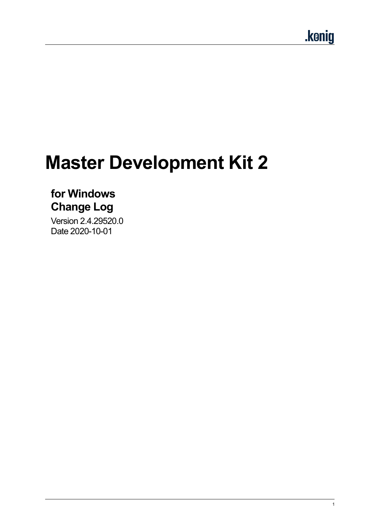# **Master Development Kit 2**

# **for Windows Change Log**

Version 2.4.29520.0 Date 2020-10-01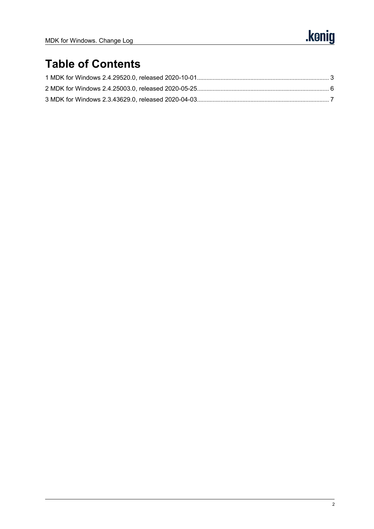# **Table of Contents**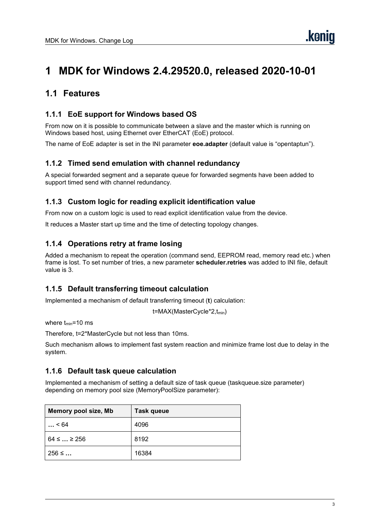## <span id="page-2-0"></span>**1 MDK for Windows 2.4.29520.0, released 2020-10-01**

### **1.1 Features**

#### **1.1.1 EoE support for Windows based OS**

From nowon it is possible to communicate between a slave and the master which is running on Windows based host, using Ethernet over EtherCAT (EoE) protocol.

The name of EoE adapter is set in the INI parameter **eoe.adapter** (default value is "opentaptun").

#### **1.1.2 Timed send emulation with channelredundancy**

A special forwarded segment and a separate queue for forwarded segments have been added to support timed send with channel redundancy.

#### **1.1.3 Custom logic for reading explicit identification value**

From nowon a custom logic is used to read explicit identification value from the device.

It reduces a Master start up time and the time of detecting topology changes.

#### **1.1.4 Operations retry at frame losing**

Added a mechanism to repeat the operation (command send, EEPROM read, memory read etc.) when frame is lost. To set number oftries, a new parameter **scheduler.retries** was added to INI file, default value is 3.

#### **1.1.5 Default transferring timeout calculation**

Implemented a mechanism of default transferring timeout (**t**) calculation:

t=MAX(MasterCycle\*2,tmin)

where  $t_{min}$ =10 ms

Therefore, t=2\*MasterCycle but not less than 10ms.

Such mechanism allows to implement fast system reaction and minimize frame lost due to delay in the system.

#### **1.1.6 Default task queue calculation**

Implemented a mechanism of setting adefault size of task queue (taskqueue.size parameter) depending on memory pool size (MemoryPoolSize parameter):

| Memory pool size, Mb | <b>Task queue</b> |
|----------------------|-------------------|
| < 64                 | 4096              |
| $64 \leq  \geq 256$  | 8192              |
| $256 \leq $          | 16384             |

**.ken**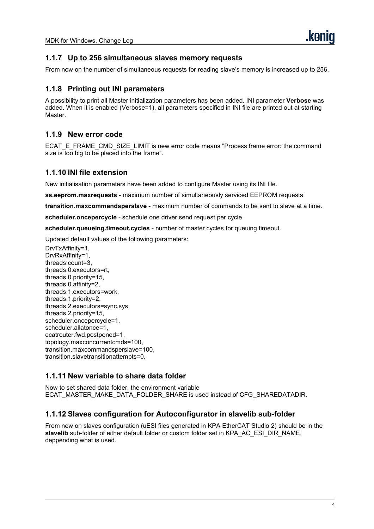#### **1.1.7 Up to 256 simultaneous slaves memory requests**

From now on the number of simultaneous requests for reading slave's memory is increased up to 256.

#### **1.1.8 Printing out INI parameters**

A possibility to print all Master initialization parameters has been added. INI parameter **Verbose** was added. When it is enabled (Verbose=1), all parameters specified in INI file are printed out at starting Master.

#### **1.1.9 New error code**

ECAT\_E\_FRAME\_CMD\_SIZE\_LIMIT is new error code means "Process frame error: the command size is too big to be placed into the frame".

#### **1.1.10 INI file extension**

New initialisation parameters have been added to configure Master using its INI file.

**ss.eeprom.maxrequests** - maximum number of simultaneously serviced EEPROM requests

**transition.maxcommandsperslave** - maximum number of commands to be sent to slave at a time.

**scheduler.oncepercycle** - schedule one driver send request per cycle.

**scheduler.queueing.timeout.cycles** - numberof master cycles for queuing timeout.

Updated default values of the following parameters:

DrvTxAffinity=1, DrvRxAffinity=1, threads.count=3, threads.0.executors=rt, threads.0.priority=15, threads.0.affinity=2, threads.1.executors=work, threads.1.priority=2, threads.2.executors=sync,sys, threads.2.priority=15, scheduler.oncepercycle=1, scheduler.allatonce=1, ecatrouter.fwd.postponed=1, topology.maxconcurrentcmds=100, transition.maxcommandsperslave=100, transition.slavetransitionattempts=0.

#### **1.1.11 New variable to share data folder**

Now to set shared data folder, the environment variable ECAT\_MASTER\_MAKE\_DATA\_FOLDER\_SHARE is used instead of CFG\_SHAREDATADIR.

#### **1.1.12 Slaves configuration for Autoconfigurator in slavelib sub-folder**

From nowon slaves configuration (uESI files generated in KPA EtherCAT Studio 2) should be in the slavelib sub-folder of either default folder or custom folder set in KPA\_AC\_ESI\_DIR\_NAME, deppending what is used.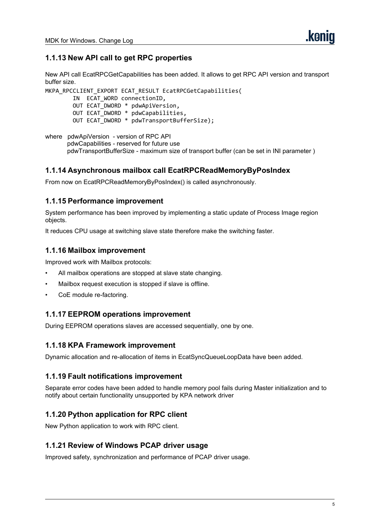#### **1.1.13 New API call to get RPC properties**

New API call EcatRPCGetCapabilities has been added. It allows to get RPC API version and transport buffer size.

```
MKPA RPCCLIENT EXPORT ECAT RESULT EcatRPCGetCapabilities(
       IN ECAT WORD connectionID,
       OUT ECAT_DWORD * pdwApiVersion,
       OUT ECAT_DWORD * pdwCapabilities,
       OUT ECAT_DWORD * pdwTransportBufferSize);
```

```
where pdwApiVersion - version of RPC API
       pdwCapabilities - reserved for future use
       pdwTransportBufferSize - maximum size of transport buffer (can be set in INI parameter )
```
#### **1.1.14 Asynchronous mailbox call EcatRPCReadMemoryByPosIndex**

From now on EcatRPCReadMemoryByPosIndex() is called asynchronously.

#### **1.1.15 Performance improvement**

System performance has been improved by implementing a static update of Process Image region objects.

It reduces CPU usage at switching slave state therefore make the switching faster.

#### **1.1.16 Mailbox improvement**

Improved work with Mailbox protocols:

- All mailbox operations are stopped at slave state changing.
- Mailbox request execution is stopped if slave is offline.
- CoE module re-factoring.

#### **1.1.17 EEPROM operations improvement**

During EEPROM operations slaves are accessed sequentially, one by one.

#### **1.1.18 KPA Framework improvement**

Dynamic allocation and re-allocation of items in EcatSyncQueueLoopData have been added.

#### **1.1.19 Fault notifications improvement**

Separate error codes have been added to handle memory pool fails during Master initialization and to notify about certain functionality unsupported by KPA network driver

#### **1.1.20 Python application for RPC client**

New Python application to work with RPC client.

#### **1.1.21 Review of Windows PCAP driver usage**

Improved safety, synchronization and performance of PCAP driver usage.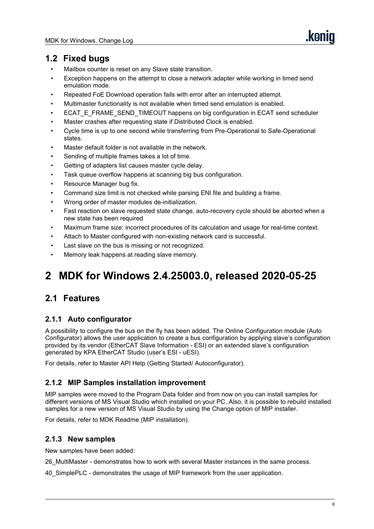### **1.2 Fixed bugs**

- Mailbox counter is reset on any Slave state transition.
- Exception happens on the attempt to close a network adapter while working in timed send emulation mode.
- Repeated FoE Download operation fails with error after an interrupted attempt.
- Multimaster functionality is not available when timed send emulation is enabled.
- ECAT\_E\_FRAME\_SEND\_TIMEOUT happens on big configuration in ECAT send scheduler
- Master crashes after requesting state if Distributed Clock is enabled.
- Cycle time is up to one second while transferring from Pre-Operational to Safe-Operational states.
- Master default folder is not available in the network.
- Sending of multiple frames takes a lot of time.
- Getting of adapters list causes master cycle delay.
- Task queue overflow happens at scanning big bus configuration.
- Resource Manager bug fix.
- Command size limit is not checked while parsing ENI file and building a frame.
- Wrong order of master modules de-initialization.
- Fast reaction on slave requested state change, auto-recovery cycle should be aborted when a new state has been required
- Maximum frame size: incorrect procedures of its calculation and usage for real-time context.
- Attach to Master configured with non-existing network card is successful.
- Last slave on the bus is missing or not recognized.
- Memory leak happens at reading slave memory.

# <span id="page-5-0"></span>**2 MDK for Windows 2.4.25003.0, released 2020-05-25**

### **2.1 Features**

#### **2.1.1 Auto configurator**

A possibility to configure the bus on the fly has been added. The Online Configuration module (Auto Configurator) allows the user application to create a bus configuration by applying slave's configuration provided by its vendor (EtherCAT Slave Information - ESI) or an extended slave's configuration generated by KPA EtherCAT Studio (user's ESI - uESI).

For details, refer to Master API Help (Getting Started/ Autoconfigurator).

#### **2.1.2 MIP Samples installation improvement**

MIP samples were moved to the Program Data folder and from nowon you can install samples for different versions of MS Visual Studio which installed on your PC. Also, it is possible to rebuild installed samples for a new version of MS Visual Studio by using the Change option of MIP installer.

For details, refer to MDK Readme (MIP installation).

#### **2.1.3 New samples**

New samples have been added:

26\_MultiMaster - demonstrates how to work with several Master instances in the same process.

40\_SimplePLC - demonstrates the usage of MIP framework from the user application.